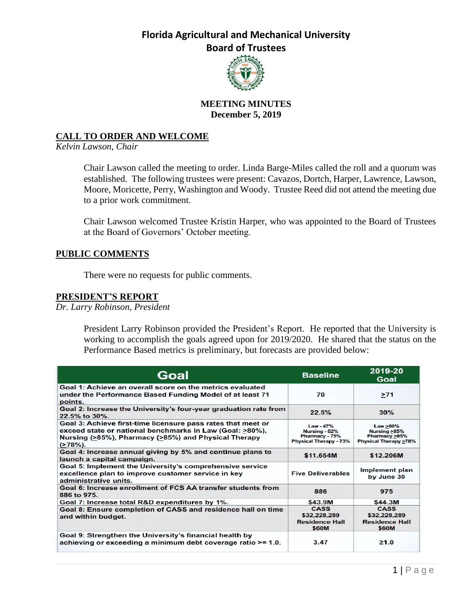

### **MEETING MINUTES December 5, 2019**

### **CALL TO ORDER AND WELCOME**

*Kelvin Lawson, Chair*

Chair Lawson called the meeting to order. Linda Barge-Miles called the roll and a quorum was established. The following trustees were present: Cavazos, Dortch, Harper, Lawrence, Lawson, Moore, Moricette, Perry, Washington and Woody. Trustee Reed did not attend the meeting due to a prior work commitment.

Chair Lawson welcomed Trustee Kristin Harper, who was appointed to the Board of Trustees at the Board of Governors' October meeting.

#### **PUBLIC COMMENTS**

There were no requests for public comments.

### **PRESIDENT'S REPORT**

*Dr. Larry Robinson, President*

President Larry Robinson provided the President's Report. He reported that the University is working to accomplish the goals agreed upon for 2019/2020. He shared that the status on the Performance Based metrics is preliminary, but forecasts are provided below:

| Goal                                                                                                                                                                                           | <b>Baseline</b>                                                        | 2019-20<br>Goal                                                           |
|------------------------------------------------------------------------------------------------------------------------------------------------------------------------------------------------|------------------------------------------------------------------------|---------------------------------------------------------------------------|
| Goal 1: Achieve an overall score on the metrics evaluated<br>under the Performance Based Funding Model of at least 71<br>points.                                                               | 70                                                                     | >71                                                                       |
| Goal 2: Increase the University's four-year graduation rate from<br>$22.5\%$ to $30\%$ .                                                                                                       | 22.5%                                                                  | 30%                                                                       |
| Goal 3: Achieve first-time licensure pass rates that meet or<br>exceed state or national benchmarks in Law (Goal: >80%),<br>Nursing (>85%), Pharmacy (>85%) and Physical Therapy<br>$(278%)$ . | Law - 47%<br>Nursing - 82%<br>Pharmacy - 75%<br>Physical Therapy - 73% | Law >80%<br>Nursing $\geq 85\%$<br>Pharmacy >85%<br>Physical Therapy >78% |
| Goal 4: Increase annual giving by 5% and continue plans to<br>launch a capital campaign.                                                                                                       | \$11.654M                                                              | \$12,206M                                                                 |
| Goal 5: Implement the University's comprehensive service<br>excellence plan to improve customer service in key<br>administrative units.                                                        | <b>Five Deliverables</b>                                               | Implement plan<br>by June 30                                              |
| Goal 6: Increase enrollment of FCS AA transfer students from<br>886 to 975.                                                                                                                    | 886                                                                    | 975                                                                       |
| Goal 7: Increase total R&D expenditures by 1%.                                                                                                                                                 | \$43.9M                                                                | \$44.3M                                                                   |
| Goal 8: Ensure completion of CASS and residence hall on time<br>and within budget.                                                                                                             | CASS<br>\$32,228,289<br><b>Residence Hall</b><br>\$60M                 | <b>CASS</b><br>\$32.228.289<br><b>Residence Hall</b><br>\$60M             |
| Goal 9: Strengthen the University's financial health by<br>achieving or exceeding a minimum debt coverage ratio >= 1.0.                                                                        | 3.47                                                                   | $\geq 1.0$                                                                |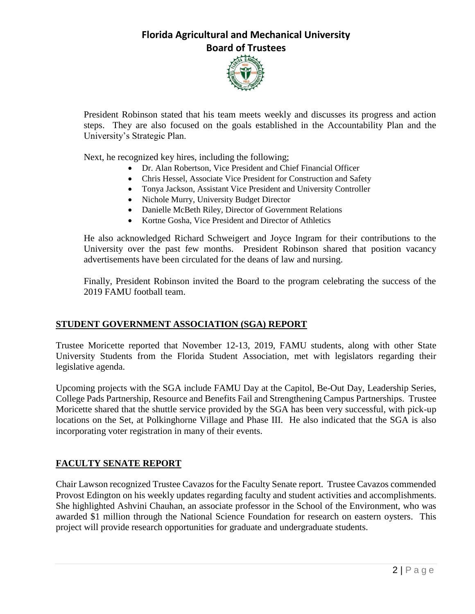

President Robinson stated that his team meets weekly and discusses its progress and action steps. They are also focused on the goals established in the Accountability Plan and the University's Strategic Plan.

Next, he recognized key hires, including the following;

- Dr. Alan Robertson, Vice President and Chief Financial Officer
- Chris Hessel, Associate Vice President for Construction and Safety
- Tonya Jackson, Assistant Vice President and University Controller
- Nichole Murry, University Budget Director
- Danielle McBeth Riley, Director of Government Relations
- Kortne Gosha, Vice President and Director of Athletics

He also acknowledged Richard Schweigert and Joyce Ingram for their contributions to the University over the past few months. President Robinson shared that position vacancy advertisements have been circulated for the deans of law and nursing.

Finally, President Robinson invited the Board to the program celebrating the success of the 2019 FAMU football team.

### **STUDENT GOVERNMENT ASSOCIATION (SGA) REPORT**

Trustee Moricette reported that November 12-13, 2019, FAMU students, along with other State University Students from the Florida Student Association, met with legislators regarding their legislative agenda.

Upcoming projects with the SGA include FAMU Day at the Capitol, Be-Out Day, Leadership Series, College Pads Partnership, Resource and Benefits Fail and Strengthening Campus Partnerships. Trustee Moricette shared that the shuttle service provided by the SGA has been very successful, with pick-up locations on the Set, at Polkinghorne Village and Phase III. He also indicated that the SGA is also incorporating voter registration in many of their events.

### **FACULTY SENATE REPORT**

Chair Lawson recognized Trustee Cavazos for the Faculty Senate report. Trustee Cavazos commended Provost Edington on his weekly updates regarding faculty and student activities and accomplishments. She highlighted Ashvini Chauhan, an associate professor in the School of the Environment, who was awarded \$1 million through the National Science Foundation for research on eastern oysters. This project will provide research opportunities for graduate and undergraduate students.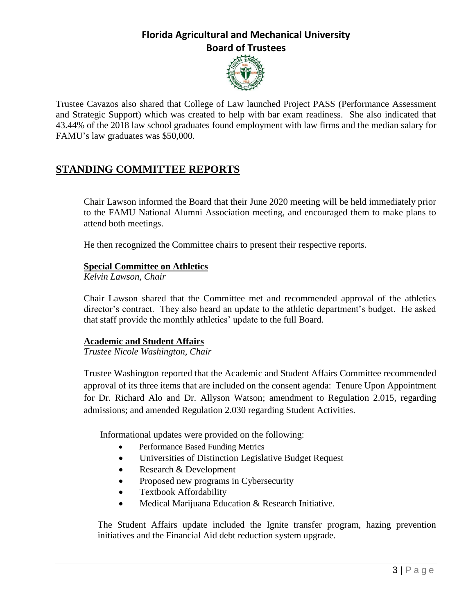

Trustee Cavazos also shared that College of Law launched Project PASS (Performance Assessment and Strategic Support) which was created to help with bar exam readiness. She also indicated that 43.44% of the 2018 law school graduates found employment with law firms and the median salary for FAMU's law graduates was \$50,000.

# **STANDING COMMITTEE REPORTS**

Chair Lawson informed the Board that their June 2020 meeting will be held immediately prior to the FAMU National Alumni Association meeting, and encouraged them to make plans to attend both meetings.

He then recognized the Committee chairs to present their respective reports.

### **Special Committee on Athletics**

*Kelvin Lawson, Chair*

Chair Lawson shared that the Committee met and recommended approval of the athletics director's contract. They also heard an update to the athletic department's budget. He asked that staff provide the monthly athletics' update to the full Board.

### **Academic and Student Affairs**

*Trustee Nicole Washington, Chair*

Trustee Washington reported that the Academic and Student Affairs Committee recommended approval of its three items that are included on the consent agenda: Tenure Upon Appointment for Dr. Richard Alo and Dr. Allyson Watson; amendment to Regulation 2.015, regarding admissions; and amended Regulation 2.030 regarding Student Activities.

Informational updates were provided on the following:

- Performance Based Funding Metrics
- Universities of Distinction Legislative Budget Request
- Research & Development
- Proposed new programs in Cybersecurity
- Textbook Affordability
- Medical Marijuana Education & Research Initiative.

The Student Affairs update included the Ignite transfer program, hazing prevention initiatives and the Financial Aid debt reduction system upgrade.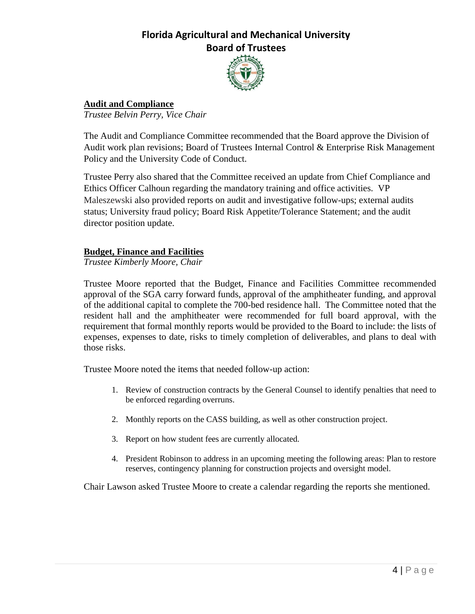

# **Audit and Compliance**

*Trustee Belvin Perry, Vice Chair*

The Audit and Compliance Committee recommended that the Board approve the Division of Audit work plan revisions; Board of Trustees Internal Control & Enterprise Risk Management Policy and the University Code of Conduct.

Trustee Perry also shared that the Committee received an update from Chief Compliance and Ethics Officer Calhoun regarding the mandatory training and office activities. VP Maleszewski also provided reports on audit and investigative follow-ups; external audits status; University fraud policy; Board Risk Appetite/Tolerance Statement; and the audit director position update.

### **Budget, Finance and Facilities**

*Trustee Kimberly Moore, Chair*

Trustee Moore reported that the Budget, Finance and Facilities Committee recommended approval of the SGA carry forward funds, approval of the amphitheater funding, and approval of the additional capital to complete the 700-bed residence hall. The Committee noted that the resident hall and the amphitheater were recommended for full board approval, with the requirement that formal monthly reports would be provided to the Board to include: the lists of expenses, expenses to date, risks to timely completion of deliverables, and plans to deal with those risks.

Trustee Moore noted the items that needed follow-up action:

- 1. Review of construction contracts by the General Counsel to identify penalties that need to be enforced regarding overruns.
- 2. Monthly reports on the CASS building, as well as other construction project.
- 3. Report on how student fees are currently allocated.
- 4. President Robinson to address in an upcoming meeting the following areas: Plan to restore reserves, contingency planning for construction projects and oversight model.

Chair Lawson asked Trustee Moore to create a calendar regarding the reports she mentioned.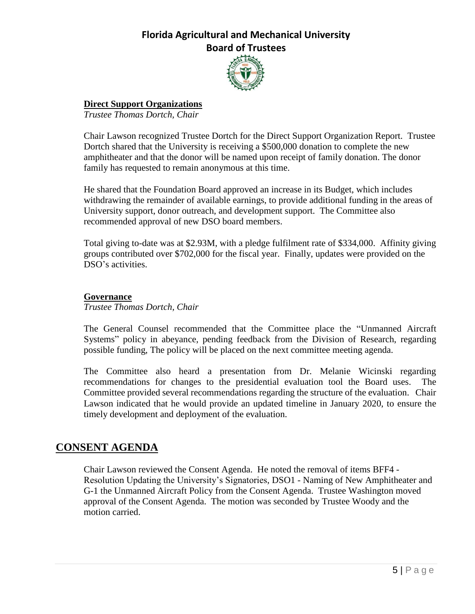

### **Direct Support Organizations**

*Trustee Thomas Dortch, Chair*

Chair Lawson recognized Trustee Dortch for the Direct Support Organization Report. Trustee Dortch shared that the University is receiving a \$500,000 donation to complete the new amphitheater and that the donor will be named upon receipt of family donation. The donor family has requested to remain anonymous at this time.

He shared that the Foundation Board approved an increase in its Budget, which includes withdrawing the remainder of available earnings, to provide additional funding in the areas of University support, donor outreach, and development support. The Committee also recommended approval of new DSO board members.

Total giving to-date was at \$2.93M, with a pledge fulfilment rate of \$334,000. Affinity giving groups contributed over \$702,000 for the fiscal year. Finally, updates were provided on the DSO's activities.

### **Governance**

*Trustee Thomas Dortch, Chair*

The General Counsel recommended that the Committee place the "Unmanned Aircraft Systems" policy in abeyance, pending feedback from the Division of Research, regarding possible funding, The policy will be placed on the next committee meeting agenda.

The Committee also heard a presentation from Dr. Melanie Wicinski regarding recommendations for changes to the presidential evaluation tool the Board uses. The Committee provided several recommendations regarding the structure of the evaluation. Chair Lawson indicated that he would provide an updated timeline in January 2020, to ensure the timely development and deployment of the evaluation.

## **CONSENT AGENDA**

Chair Lawson reviewed the Consent Agenda. He noted the removal of items BFF4 - Resolution Updating the University's Signatories, DSO1 - Naming of New Amphitheater and G-1 the Unmanned Aircraft Policy from the Consent Agenda. Trustee Washington moved approval of the Consent Agenda. The motion was seconded by Trustee Woody and the motion carried.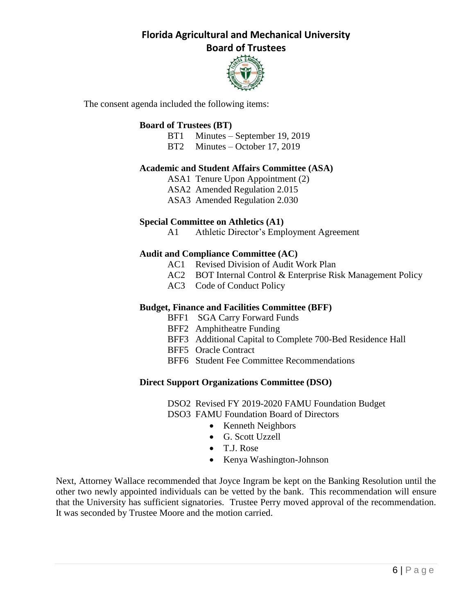

The consent agenda included the following items:

### **Board of Trustees (BT)**

- BT1 Minutes September 19, 2019
- BT2 Minutes October 17, 2019

#### **Academic and Student Affairs Committee (ASA)**

- ASA1 Tenure Upon Appointment (2)
- ASA2 Amended Regulation 2.015
- ASA3 Amended Regulation 2.030

#### **Special Committee on Athletics (A1)**

A1 Athletic Director's Employment Agreement

#### **Audit and Compliance Committee (AC)**

- AC1 Revised Division of Audit Work Plan
- AC2 BOT Internal Control & Enterprise Risk Management Policy
- AC3 Code of Conduct Policy

#### **Budget, Finance and Facilities Committee (BFF)**

- BFF1 SGA Carry Forward Funds
- BFF2 Amphitheatre Funding
- BFF3 Additional Capital to Complete 700-Bed Residence Hall
- BFF5 Oracle Contract
- BFF6 Student Fee Committee Recommendations

#### **Direct Support Organizations Committee (DSO)**

DSO2 Revised FY 2019-2020 FAMU Foundation Budget DSO3 FAMU Foundation Board of Directors

- Kenneth Neighbors
- G. Scott Uzzell
- T.J. Rose
- Kenya Washington-Johnson

Next, Attorney Wallace recommended that Joyce Ingram be kept on the Banking Resolution until the other two newly appointed individuals can be vetted by the bank. This recommendation will ensure that the University has sufficient signatories. Trustee Perry moved approval of the recommendation. It was seconded by Trustee Moore and the motion carried.